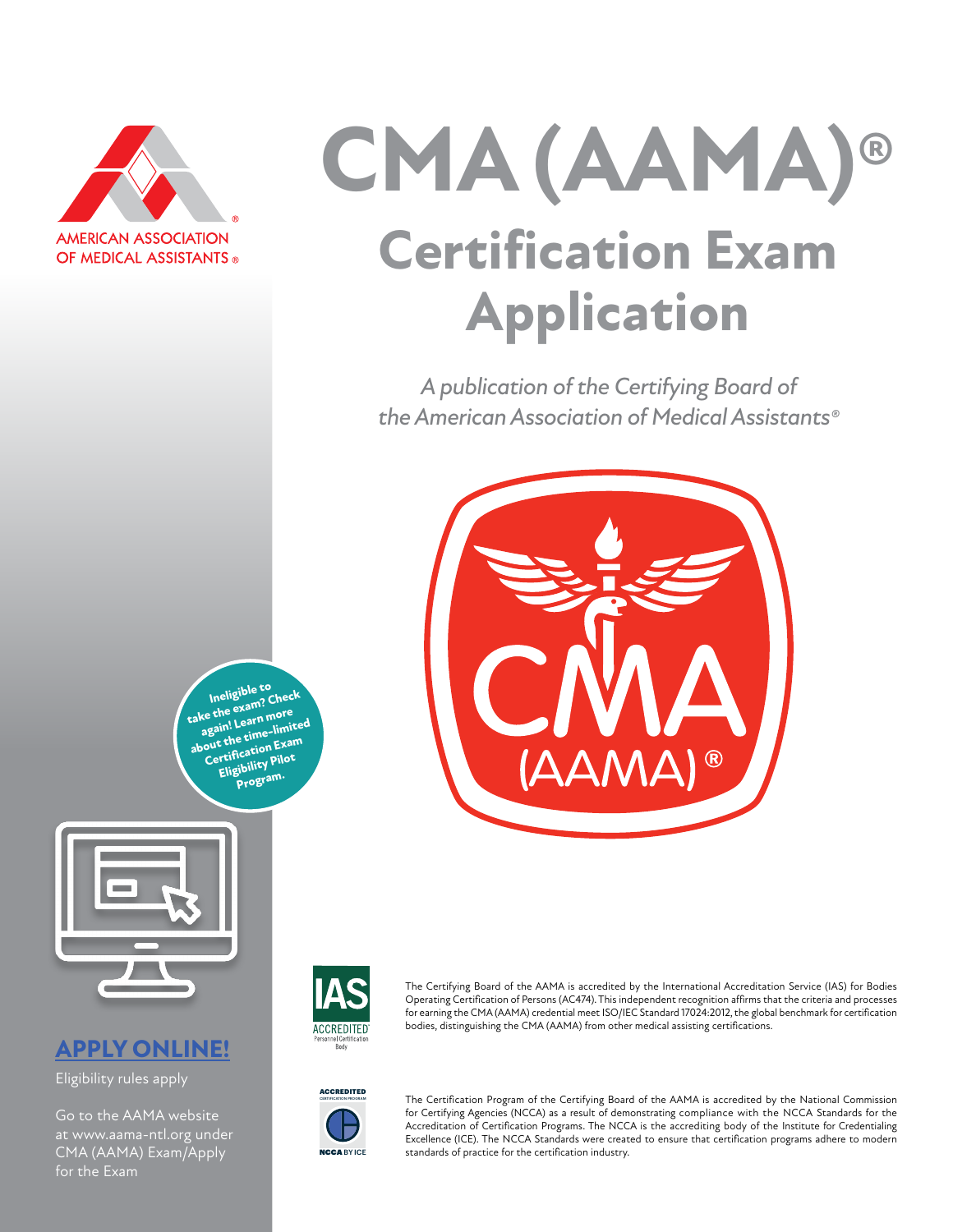

# CMA (AAMA) **Certification Exam Application**

*A publication of the Certifying Board of the American Association of Medical Assistants®*



**Ineligible to**<br> **take the exam? Check again! Learn more about the time-limited [Certification Exam](https://www.aama-ntl.org/cma-aama-exam/eligibility-pilot-program)  [Eligibility Pilot](https://www.aama-ntl.org/cma-aama-exam/eligibility-pilot-program)  [Program.](https://www.aama-ntl.org/cma-aama-exam/eligibility-pilot-program)**



# **[APPLY ONLINE!](https://www.aama-ntl.org/cma-aama-exam/apply)**

Eligibility rules apply

Go to the AAMA website at www.aama-ntl.org under CMA (AAMA) Exam/Apply for the Exam



The Certifying Board of the AAMA is accredited by the International Accreditation Service (IAS) for Bodies Operating Certification of Persons (AC474). This independent recognition affirms that the criteria and processes for earning the CMA (AAMA) credential meet ISO/IEC Standard 17024:2012, the global benchmark for certification bodies, distinguishing the CMA (AAMA) from other medical assisting certifications.



The Certification Program of the Certifying Board of the AAMA is accredited by the National Commission for Certifying Agencies (NCCA) as a result of demonstrating compliance with the NCCA Standards for the Accreditation of Certification Programs. The NCCA is the accrediting body of the Institute for Credentialing Excellence (ICE). The NCCA Standards were created to ensure that certification programs adhere to modern standards of practice for the certification industry.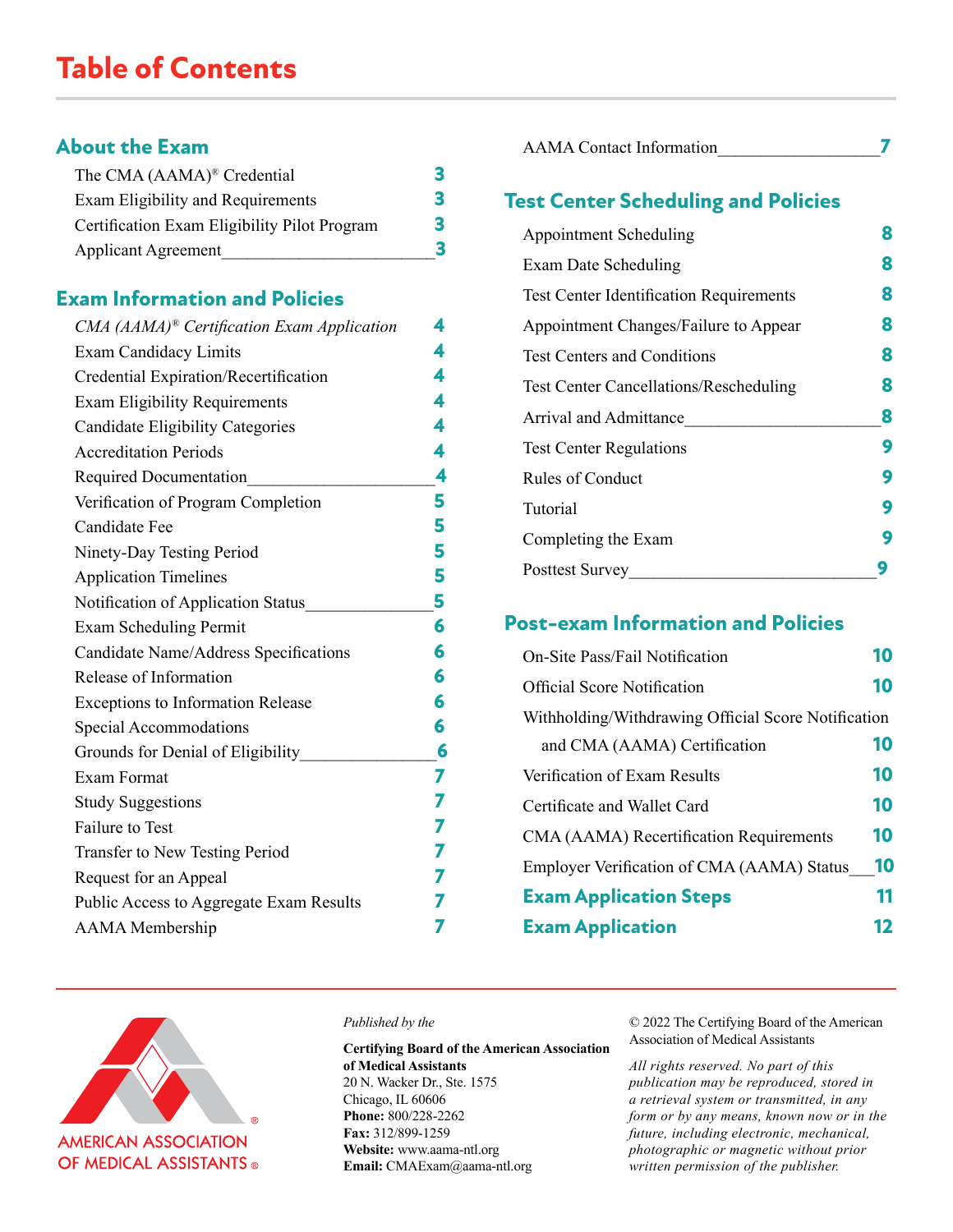# **Table of Contents**

# **About the Exam**

| The CMA (AAMA) <sup>®</sup> Credential       |   |
|----------------------------------------------|---|
| Exam Eligibility and Requirements            |   |
| Certification Exam Eligibility Pilot Program | 3 |
| <b>Applicant Agreement</b>                   |   |

# **Exam Information and Policies**

| $CMA$ (AAMA) <sup>®</sup> Certification Exam Application | 4 |
|----------------------------------------------------------|---|
| <b>Exam Candidacy Limits</b>                             | 4 |
| Credential Expiration/Recertification                    | 4 |
| <b>Exam Eligibility Requirements</b>                     | 4 |
| <b>Candidate Eligibility Categories</b>                  | 4 |
| <b>Accreditation Periods</b>                             | 4 |
| <b>Required Documentation</b>                            | 4 |
| Verification of Program Completion                       | 5 |
| Candidate Fee                                            | 5 |
| Ninety-Day Testing Period                                | 5 |
| <b>Application Timelines</b>                             | 5 |
| Notification of Application Status                       | 5 |
| Exam Scheduling Permit                                   | 6 |
| Candidate Name/Address Specifications                    | 6 |
| Release of Information                                   | 6 |
| <b>Exceptions to Information Release</b>                 | 6 |
| Special Accommodations                                   | 6 |
| Grounds for Denial of Eligibility                        | 6 |
| Exam Format                                              | 7 |
| <b>Study Suggestions</b>                                 | 7 |
| <b>Failure to Test</b>                                   | 7 |
| Transfer to New Testing Period                           | 7 |
| Request for an Appeal                                    | 7 |
| Public Access to Aggregate Exam Results                  |   |
| <b>AAMA</b> Membership                                   | 7 |

| <b>AAMA</b> Contact Information |  |
|---------------------------------|--|
|                                 |  |

# **Test Center Scheduling and Policies**

| <b>Appointment Scheduling</b>                  | 8 |
|------------------------------------------------|---|
| Exam Date Scheduling                           | 8 |
| <b>Test Center Identification Requirements</b> | 8 |
| Appointment Changes/Failure to Appear          | 8 |
| <b>Test Centers and Conditions</b>             | 8 |
| <b>Test Center Cancellations/Rescheduling</b>  | 8 |
| Arrival and Admittance                         | 8 |
| <b>Test Center Regulations</b>                 | 9 |
| <b>Rules of Conduct</b>                        | 9 |
| Tutorial                                       | 9 |
| Completing the Exam                            | 9 |
| <b>Posttest Survey</b>                         |   |

# **Post-exam Information and Policies**

| <b>On-Site Pass/Fail Notification</b>               | 10      |
|-----------------------------------------------------|---------|
| <b>Official Score Notification</b>                  | 10      |
| Withholding/Withdrawing Official Score Notification |         |
| and CMA (AAMA) Certification                        | 10      |
| Verification of Exam Results                        | 10      |
| Certificate and Wallet Card                         | 10      |
| CMA (AAMA) Recertification Requirements             | 10      |
| <b>Employer Verification of CMA (AAMA) Status</b>   | 10      |
| <b>Exam Application Steps</b>                       | 11      |
| <b>Exam Application</b>                             | $12 \,$ |



#### *Published by the*

**Certifying Board of the American Association of Medical Assistants** 20 N. Wacker Dr., Ste. 1575 Chicago, IL 60606 **Phone:** 800/228-2262 **Fax:** 312/899-1259 **Website:** www.aama-ntl.org **Email:** CMAExam@aama-ntl.org

© 2022 The Certifying Board of the American Association of Medical Assistants

*All rights reserved. No part of this publication may be reproduced, stored in a retrieval system or transmitted, in any form or by any means, known now or in the future, including electronic, mechanical, photographic or magnetic without prior written permission of the publisher.*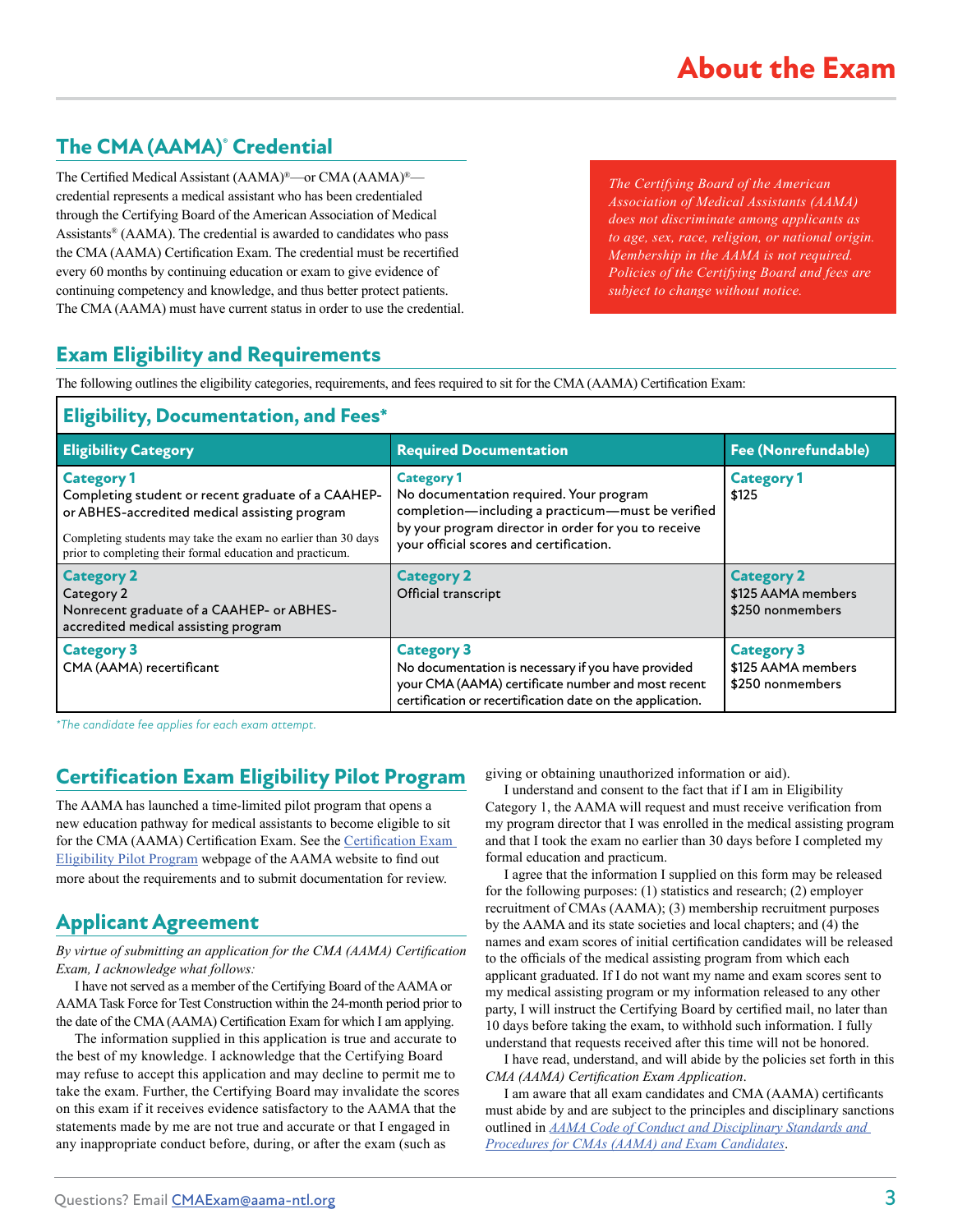# **The CMA (AAMA)® Credential**

The Certified Medical Assistant (AAMA)®—or CMA (AAMA)® credential represents a medical assistant who has been credentialed through the Certifying Board of the American Association of Medical Assistants® (AAMA). The credential is awarded to candidates who pass the CMA (AAMA) Certification Exam. The credential must be recertified every 60 months by continuing education or exam to give evidence of continuing competency and knowledge, and thus better protect patients. The CMA (AAMA) must have current status in order to use the credential.

*The Certifying Board of the American Association of Medical Assistants (AAMA) does not discriminate among applicants as to age, sex, race, religion, or national origin. Membership in the AAMA is not required. Policies of the Certifying Board and fees are subject to change without notice.*

# **Exam Eligibility and Requirements**

The following outlines the eligibility categories, requirements, and fees required to sit for the CMA (AAMA) Certification Exam:

# **Eligibility, Documentation, and Fees\***

| <b>Eligibility Category</b>                                                                                                                                                                                                                            | <b>Required Documentation</b>                                                                                                                                                                                        | <b>Fee (Nonrefundable)</b>                                  |
|--------------------------------------------------------------------------------------------------------------------------------------------------------------------------------------------------------------------------------------------------------|----------------------------------------------------------------------------------------------------------------------------------------------------------------------------------------------------------------------|-------------------------------------------------------------|
| <b>Category 1</b><br>Completing student or recent graduate of a CAAHEP-<br>or ABHES-accredited medical assisting program<br>Completing students may take the exam no earlier than 30 days<br>prior to completing their formal education and practicum. | <b>Category 1</b><br>No documentation required. Your program<br>completion-including a practicum-must be verified<br>by your program director in order for you to receive<br>your official scores and certification. | <b>Category 1</b><br>\$125                                  |
| <b>Category 2</b><br>Category 2<br>Nonrecent graduate of a CAAHEP- or ABHES-<br>accredited medical assisting program                                                                                                                                   | <b>Category 2</b><br>Official transcript                                                                                                                                                                             | <b>Category 2</b><br>\$125 AAMA members<br>\$250 nonmembers |
| <b>Category 3</b><br>CMA (AAMA) recertificant                                                                                                                                                                                                          | <b>Category 3</b><br>No documentation is necessary if you have provided<br>your CMA (AAMA) certificate number and most recent<br>certification or recertification date on the application.                           | <b>Category 3</b><br>\$125 AAMA members<br>\$250 nonmembers |

*\*The candidate fee applies for each exam attempt.*

# **Certification Exam Eligibility Pilot Program**

The AAMA has launched a time-limited pilot program that opens a new education pathway for medical assistants to become eligible to sit for the CMA (AAMA) Certification Exam. See the [Certification Exam](https://www.aama-ntl.org/cma-aama-exam/eligibility-pilot-program)  [Eligibility Pilot Program](https://www.aama-ntl.org/cma-aama-exam/eligibility-pilot-program) webpage of the AAMA website to find out more about the requirements and to submit documentation for review.

# **Applicant Agreement**

*By virtue of submitting an application for the CMA (AAMA) Certification Exam, I acknowledge what follows:*

I have not served as a member of the Certifying Board of the AAMA or AAMA Task Force for Test Construction within the 24-month period prior to the date of the CMA (AAMA) Certification Exam for which I am applying.

The information supplied in this application is true and accurate to the best of my knowledge. I acknowledge that the Certifying Board may refuse to accept this application and may decline to permit me to take the exam. Further, the Certifying Board may invalidate the scores on this exam if it receives evidence satisfactory to the AAMA that the statements made by me are not true and accurate or that I engaged in any inappropriate conduct before, during, or after the exam (such as

giving or obtaining unauthorized information or aid).

I understand and consent to the fact that if I am in Eligibility Category 1, the AAMA will request and must receive verification from my program director that I was enrolled in the medical assisting program and that I took the exam no earlier than 30 days before I completed my formal education and practicum.

I agree that the information I supplied on this form may be released for the following purposes: (1) statistics and research; (2) employer recruitment of CMAs (AAMA); (3) membership recruitment purposes by the AAMA and its state societies and local chapters; and (4) the names and exam scores of initial certification candidates will be released to the officials of the medical assisting program from which each applicant graduated. If I do not want my name and exam scores sent to my medical assisting program or my information released to any other party, I will instruct the Certifying Board by certified mail, no later than 10 days before taking the exam, to withhold such information. I fully understand that requests received after this time will not be honored.

I have read, understand, and will abide by the policies set forth in this *CMA (AAMA) Certification Exam Application*.

I am aware that all exam candidates and CMA (AAMA) certificants must abide by and are subject to the principles and disciplinary sanctions outlined in *[AAMA Code of Conduct and Disciplinary Standards and](https://www.aama-ntl.org/docs/default-source/cma-exam/aama-code-of-conduct-and-disciplinary-standards.pdf)  [Procedures for CMAs \(AAMA\) and Exam Candidates](https://www.aama-ntl.org/docs/default-source/cma-exam/aama-code-of-conduct-and-disciplinary-standards.pdf)*.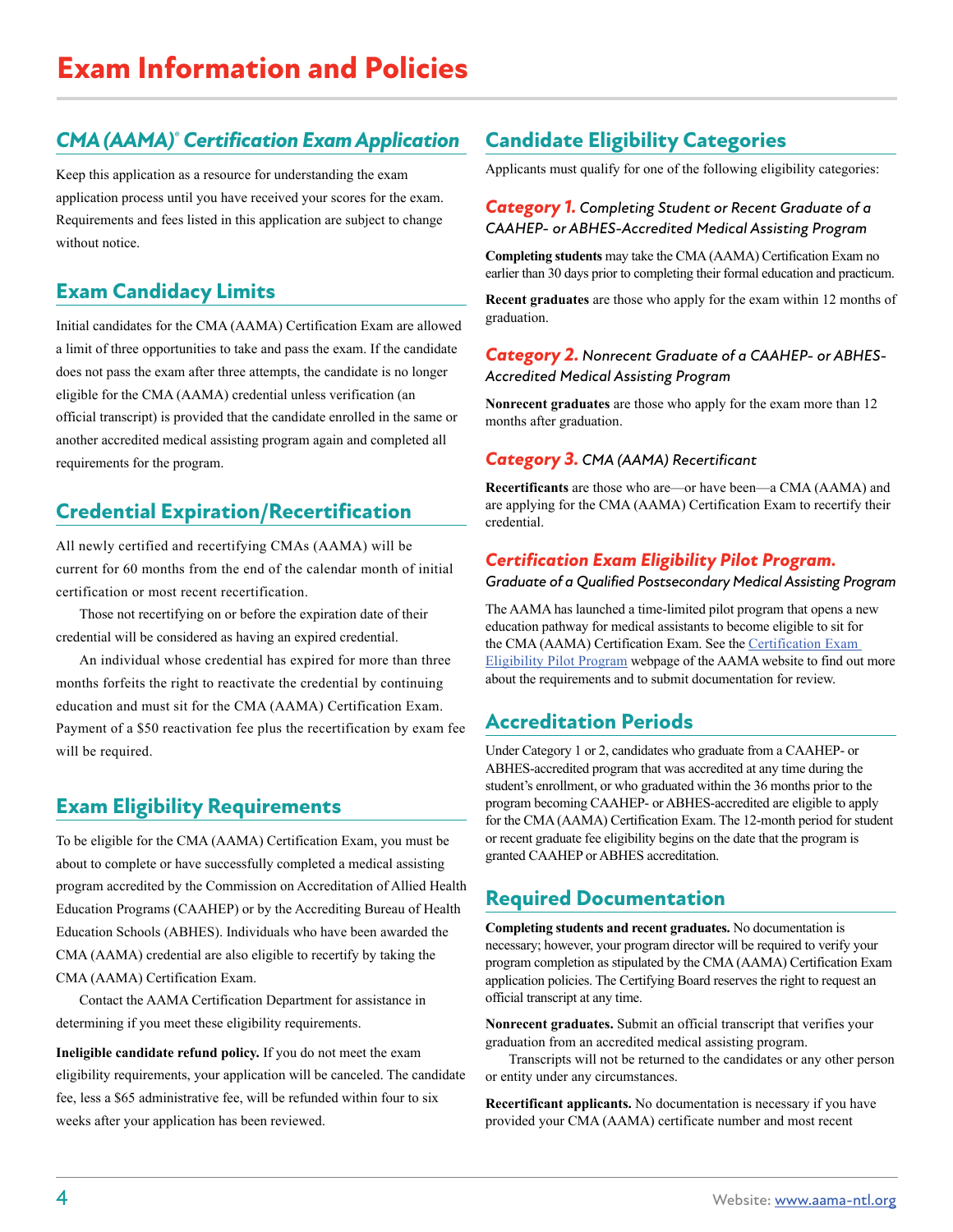# *CMA (AAMA)® Certification Exam Application*

Keep this application as a resource for understanding the exam application process until you have received your scores for the exam. Requirements and fees listed in this application are subject to change without notice.

# **Exam Candidacy Limits**

Initial candidates for the CMA (AAMA) Certification Exam are allowed a limit of three opportunities to take and pass the exam. If the candidate does not pass the exam after three attempts, the candidate is no longer eligible for the CMA (AAMA) credential unless verification (an official transcript) is provided that the candidate enrolled in the same or another accredited medical assisting program again and completed all requirements for the program.

# **Credential Expiration/Recertification**

All newly certified and recertifying CMAs (AAMA) will be current for 60 months from the end of the calendar month of initial certification or most recent recertification.

Those not recertifying on or before the expiration date of their credential will be considered as having an expired credential.

An individual whose credential has expired for more than three months forfeits the right to reactivate the credential by continuing education and must sit for the CMA (AAMA) Certification Exam. Payment of a \$50 reactivation fee plus the recertification by exam fee will be required.

# **Exam Eligibility Requirements**

To be eligible for the CMA (AAMA) Certification Exam, you must be about to complete or have successfully completed a medical assisting program accredited by the Commission on Accreditation of Allied Health Education Programs (CAAHEP) or by the Accrediting Bureau of Health Education Schools (ABHES). Individuals who have been awarded the CMA (AAMA) credential are also eligible to recertify by taking the CMA (AAMA) Certification Exam.

Contact the AAMA Certification Department for assistance in determining if you meet these eligibility requirements.

**Ineligible candidate refund policy.** If you do not meet the exam eligibility requirements, your application will be canceled. The candidate fee, less a \$65 administrative fee, will be refunded within four to six weeks after your application has been reviewed.

# **Candidate Eligibility Categories**

Applicants must qualify for one of the following eligibility categories:

#### *Category 1. Completing Student or Recent Graduate of a CAAHEP- or ABHES-Accredited Medical Assisting Program*

**Completing students** may take the CMA (AAMA) Certification Exam no earlier than 30 days prior to completing their formal education and practicum.

**Recent graduates** are those who apply for the exam within 12 months of graduation.

#### *Category 2. Nonrecent Graduate of a CAAHEP- or ABHES-Accredited Medical Assisting Program*

**Nonrecent graduates** are those who apply for the exam more than 12 months after graduation.

#### *Category 3. CMA (AAMA) Recertificant*

**Recertificants** are those who are—or have been—a CMA (AAMA) and are applying for the CMA (AAMA) Certification Exam to recertify their credential.

#### *Certification Exam Eligibility Pilot Program.*

#### *Graduate of a Qualified Postsecondary Medical Assisting Program*

The AAMA has launched a time-limited pilot program that opens a new education pathway for medical assistants to become eligible to sit for the CMA (AAMA) Certification Exam. See the [Certification Exam](https://www.aama-ntl.org/cma-aama-exam/eligibility-pilot-program)  [Eligibility Pilot Program](https://www.aama-ntl.org/cma-aama-exam/eligibility-pilot-program) webpage of the AAMA website to find out more about the requirements and to submit documentation for review.

# **Accreditation Periods**

Under Category 1 or 2, candidates who graduate from a CAAHEP- or ABHES-accredited program that was accredited at any time during the student's enrollment, or who graduated within the 36 months prior to the program becoming CAAHEP- or ABHES-accredited are eligible to apply for the CMA (AAMA) Certification Exam. The 12-month period for student or recent graduate fee eligibility begins on the date that the program is granted CAAHEP or ABHES accreditation.

# **Required Documentation**

**Completing students and recent graduates.** No documentation is necessary; however, your program director will be required to verify your program completion as stipulated by the CMA (AAMA) Certification Exam application policies. The Certifying Board reserves the right to request an official transcript at any time.

**Nonrecent graduates.** Submit an official transcript that verifies your graduation from an accredited medical assisting program.

Transcripts will not be returned to the candidates or any other person or entity under any circumstances.

**Recertificant applicants.** No documentation is necessary if you have provided your CMA (AAMA) certificate number and most recent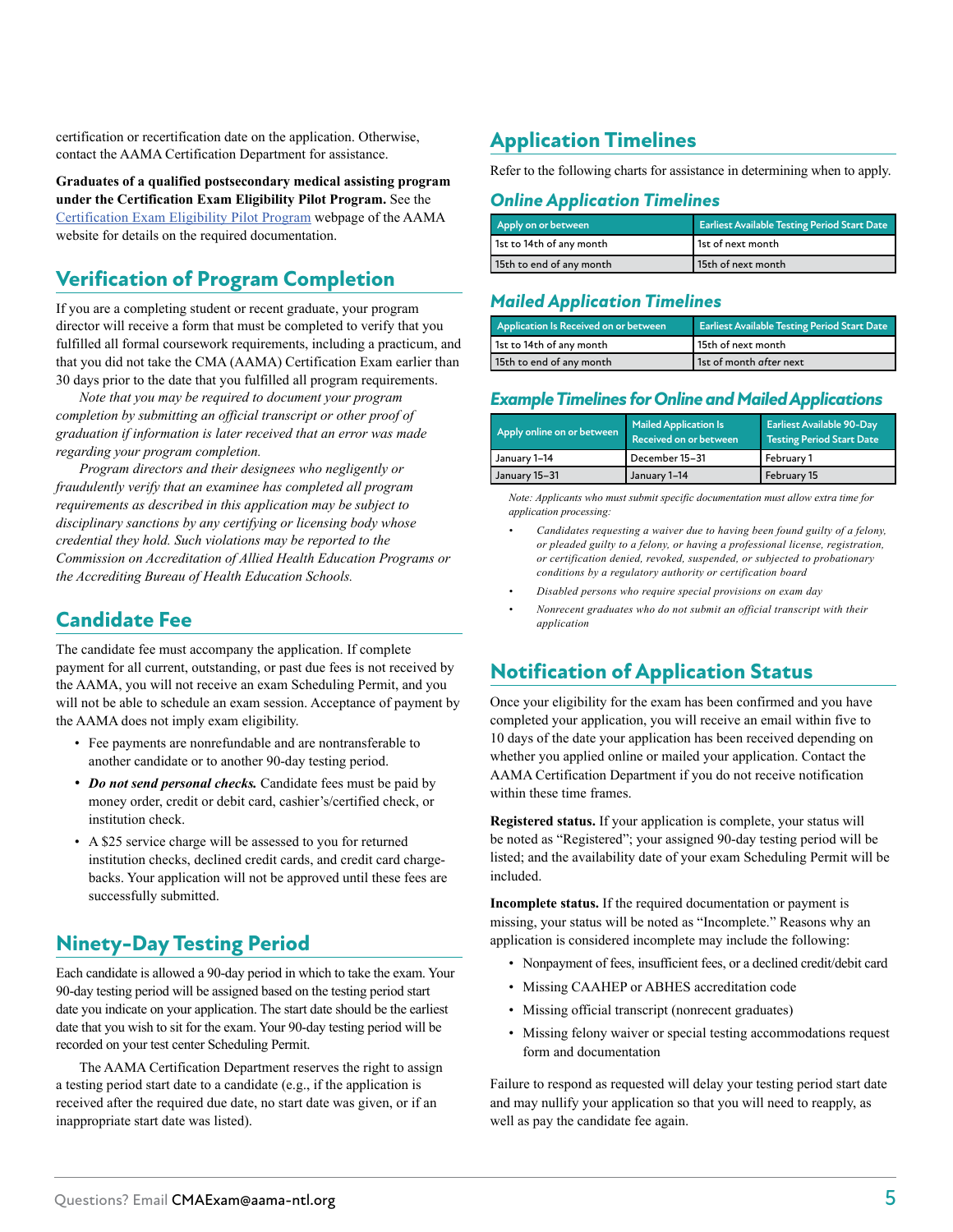certification or recertification date on the application. Otherwise, contact the AAMA Certification Department for assistance.

**Graduates of a qualified postsecondary medical assisting program under the Certification Exam Eligibility Pilot Program.** See the [Certification Exam Eligibility Pilot Program](https://www.aama-ntl.org/cma-aama-exam/eligibility-pilot-program) webpage of the AAMA website for details on the required documentation.

# **Verification of Program Completion**

If you are a completing student or recent graduate, your program director will receive a form that must be completed to verify that you fulfilled all formal coursework requirements, including a practicum, and that you did not take the CMA (AAMA) Certification Exam earlier than 30 days prior to the date that you fulfilled all program requirements.

*Note that you may be required to document your program completion by submitting an official transcript or other proof of graduation if information is later received that an error was made regarding your program completion.* 

*Program directors and their designees who negligently or fraudulently verify that an examinee has completed all program requirements as described in this application may be subject to disciplinary sanctions by any certifying or licensing body whose credential they hold. Such violations may be reported to the Commission on Accreditation of Allied Health Education Programs or the Accrediting Bureau of Health Education Schools.*

# **Candidate Fee**

The candidate fee must accompany the application. If complete payment for all current, outstanding, or past due fees is not received by the AAMA, you will not receive an exam Scheduling Permit, and you will not be able to schedule an exam session. Acceptance of payment by the AAMA does not imply exam eligibility.

- Fee payments are nonrefundable and are nontransferable to another candidate or to another 90-day testing period.
- *Do not send personal checks*. Candidate fees must be paid by money order, credit or debit card, cashier's/certified check, or institution check.
- A \$25 service charge will be assessed to you for returned institution checks, declined credit cards, and credit card chargebacks. Your application will not be approved until these fees are successfully submitted.

# **Ninety-Day Testing Period**

Each candidate is allowed a 90-day period in which to take the exam. Your 90-day testing period will be assigned based on the testing period start date you indicate on your application. The start date should be the earliest date that you wish to sit for the exam. Your 90-day testing period will be recorded on your test center Scheduling Permit.

The AAMA Certification Department reserves the right to assign a testing period start date to a candidate (e.g., if the application is received after the required due date, no start date was given, or if an inappropriate start date was listed).

# **Application Timelines**

Refer to the following charts for assistance in determining when to apply.

#### *Online Application Timelines*

| Apply on or between      | <b>Earliest Available Testing Period Start Date</b> |
|--------------------------|-----------------------------------------------------|
| 1st to 14th of any month | I 1st of next month                                 |
| 15th to end of any month | 15th of next month                                  |

#### *Mailed Application Timelines*

| Application Is Received on or between | <b>Earliest Available Testing Period Start Date</b> |
|---------------------------------------|-----------------------------------------------------|
| 1st to 14th of any month              | 15th of next month                                  |
| 15th to end of any month              | 1st of month after next                             |

#### *Example Timelines for Online and Mailed Applications*

| Apply online on or between | <b>Mailed Application Is</b><br>Received on or between | <b>Earliest Available 90-Day</b><br><b>Testing Period Start Date</b> |
|----------------------------|--------------------------------------------------------|----------------------------------------------------------------------|
| January 1–14               | December 15-31                                         | February 1                                                           |
| January 15-31              | January 1-14                                           | February 15                                                          |

*Note: Applicants who must submit specific documentation must allow extra time for application processing:*

- *• Candidates requesting a waiver due to having been found guilty of a felony, or pleaded guilty to a felony, or having a professional license, registration, or certification denied, revoked, suspended, or subjected to probationary conditions by a regulatory authority or certification board*
- *• Disabled persons who require special provisions on exam day*
- *• Nonrecent graduates who do not submit an official transcript with their application*

# **Notification of Application Status**

Once your eligibility for the exam has been confirmed and you have completed your application, you will receive an email within five to 10 days of the date your application has been received depending on whether you applied online or mailed your application. Contact the AAMA Certification Department if you do not receive notification within these time frames.

**Registered status.** If your application is complete, your status will be noted as "Registered"; your assigned 90-day testing period will be listed; and the availability date of your exam Scheduling Permit will be included.

**Incomplete status.** If the required documentation or payment is missing, your status will be noted as "Incomplete." Reasons why an application is considered incomplete may include the following:

- Nonpayment of fees, insufficient fees, or a declined credit/debit card
- Missing CAAHEP or ABHES accreditation code
- Missing official transcript (nonrecent graduates)
- Missing felony waiver or special testing accommodations request form and documentation

Failure to respond as requested will delay your testing period start date and may nullify your application so that you will need to reapply, as well as pay the candidate fee again.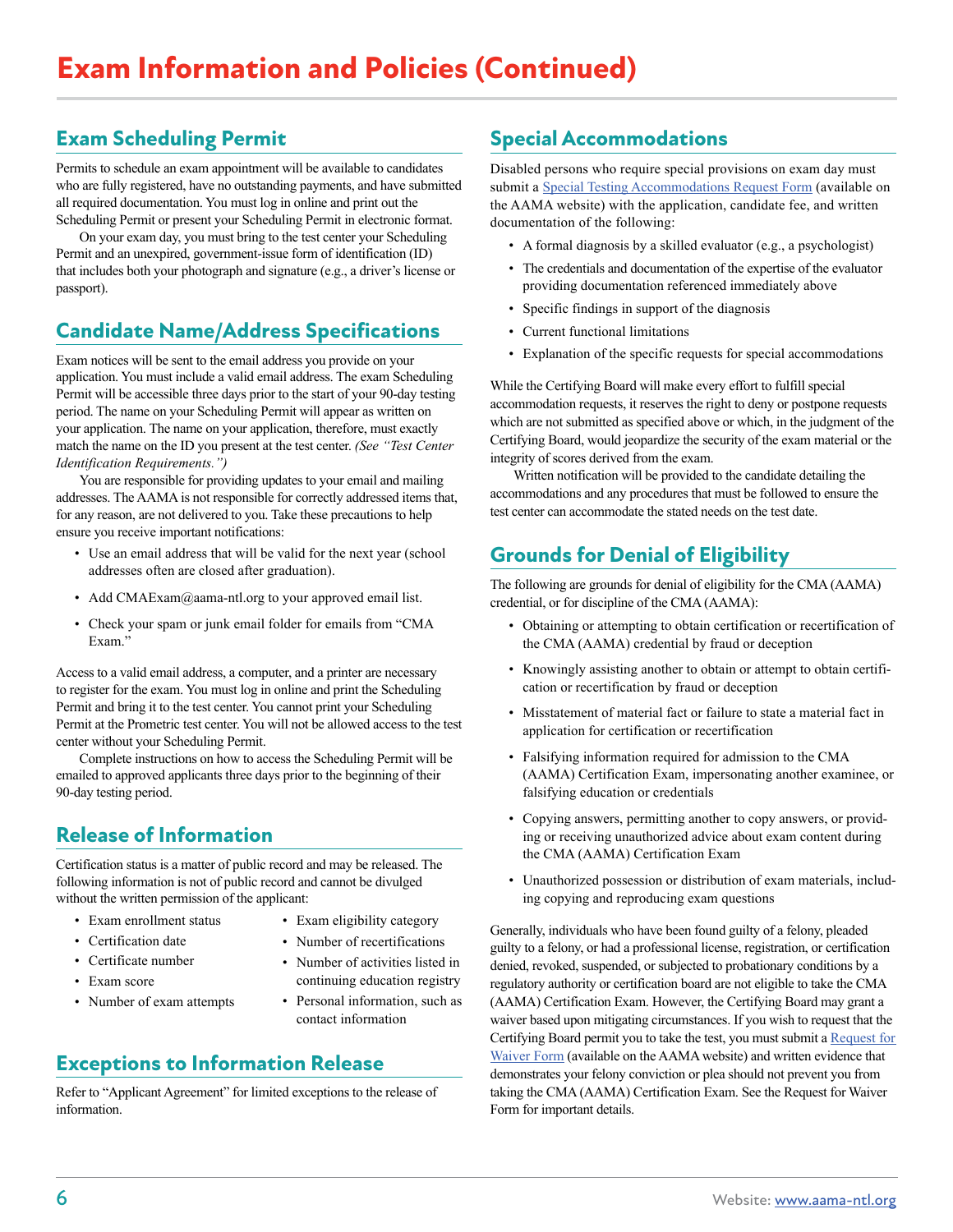# **Exam Scheduling Permit**

Permits to schedule an exam appointment will be available to candidates who are fully registered, have no outstanding payments, and have submitted all required documentation. You must log in online and print out the Scheduling Permit or present your Scheduling Permit in electronic format.

On your exam day, you must bring to the test center your Scheduling Permit and an unexpired, government-issue form of identification (ID) that includes both your photograph and signature (e.g., a driver's license or passport).

# **Candidate Name/Address Specifications**

Exam notices will be sent to the email address you provide on your application. You must include a valid email address. The exam Scheduling Permit will be accessible three days prior to the start of your 90-day testing period. The name on your Scheduling Permit will appear as written on your application. The name on your application, therefore, must exactly match the name on the ID you present at the test center. *(See "Test Center Identification Requirements.")* 

You are responsible for providing updates to your email and mailing addresses. The AAMA is not responsible for correctly addressed items that, for any reason, are not delivered to you. Take these precautions to help ensure you receive important notifications:

- Use an email address that will be valid for the next year (school addresses often are closed after graduation).
- Add CMAExam@aama-ntl.org to your approved email list.
- Check your spam or junk email folder for emails from "CMA Exam."

Access to a valid email address, a computer, and a printer are necessary to register for the exam. You must log in online and print the Scheduling Permit and bring it to the test center. You cannot print your Scheduling Permit at the Prometric test center. You will not be allowed access to the test center without your Scheduling Permit.

Complete instructions on how to access the Scheduling Permit will be emailed to approved applicants three days prior to the beginning of their 90-day testing period.

# **Release of Information**

Certification status is a matter of public record and may be released. The following information is not of public record and cannot be divulged without the written permission of the applicant:

- Exam enrollment status
- Certification date
- Certificate number
- Exam score
- Number of exam attempts
- Exam eligibility category
- Number of recertifications
- Number of activities listed in continuing education registry
- Personal information, such as contact information

# **Exceptions to Information Release**

Refer to "Applicant Agreement" for limited exceptions to the release of information.

# **Special Accommodations**

Disabled persons who require special provisions on exam day must submit a [Special Testing Accommodations Request Form](https://www.aama-ntl.org/docs/default-source/cma-exam/cma-exam-special-accomodation-request.pdf) (available on the AAMA website) with the application, candidate fee, and written documentation of the following:

- A formal diagnosis by a skilled evaluator (e.g., a psychologist)
- The credentials and documentation of the expertise of the evaluator providing documentation referenced immediately above
- Specific findings in support of the diagnosis
- Current functional limitations
- Explanation of the specific requests for special accommodations

While the Certifying Board will make every effort to fulfill special accommodation requests, it reserves the right to deny or postpone requests which are not submitted as specified above or which, in the judgment of the Certifying Board, would jeopardize the security of the exam material or the integrity of scores derived from the exam.

Written notification will be provided to the candidate detailing the accommodations and any procedures that must be followed to ensure the test center can accommodate the stated needs on the test date.

# **Grounds for Denial of Eligibility**

The following are grounds for denial of eligibility for the CMA (AAMA) credential, or for discipline of the CMA (AAMA):

- Obtaining or attempting to obtain certification or recertification of the CMA (AAMA) credential by fraud or deception
- Knowingly assisting another to obtain or attempt to obtain certification or recertification by fraud or deception
- Misstatement of material fact or failure to state a material fact in application for certification or recertification
- Falsifying information required for admission to the CMA (AAMA) Certification Exam, impersonating another examinee, or falsifying education or credentials
- Copying answers, permitting another to copy answers, or providing or receiving unauthorized advice about exam content during the CMA (AAMA) Certification Exam
- Unauthorized possession or distribution of exam materials, including copying and reproducing exam questions

Generally, individuals who have been found guilty of a felony, pleaded guilty to a felony, or had a professional license, registration, or certification denied, revoked, suspended, or subjected to probationary conditions by a regulatory authority or certification board are not eligible to take the CMA (AAMA) Certification Exam. However, the Certifying Board may grant a waiver based upon mitigating circumstances. If you wish to request that the Certifying Board permit you to take the test, you must submit a [Request for](http://www.aama-ntl.org/docs/default-source/cma-exam/cma-exam-request-waiver.pdf)  [Waiver Form](http://www.aama-ntl.org/docs/default-source/cma-exam/cma-exam-request-waiver.pdf) (available on the AAMA website) and written evidence that demonstrates your felony conviction or plea should not prevent you from taking the CMA (AAMA) Certification Exam. See the Request for Waiver Form for important details.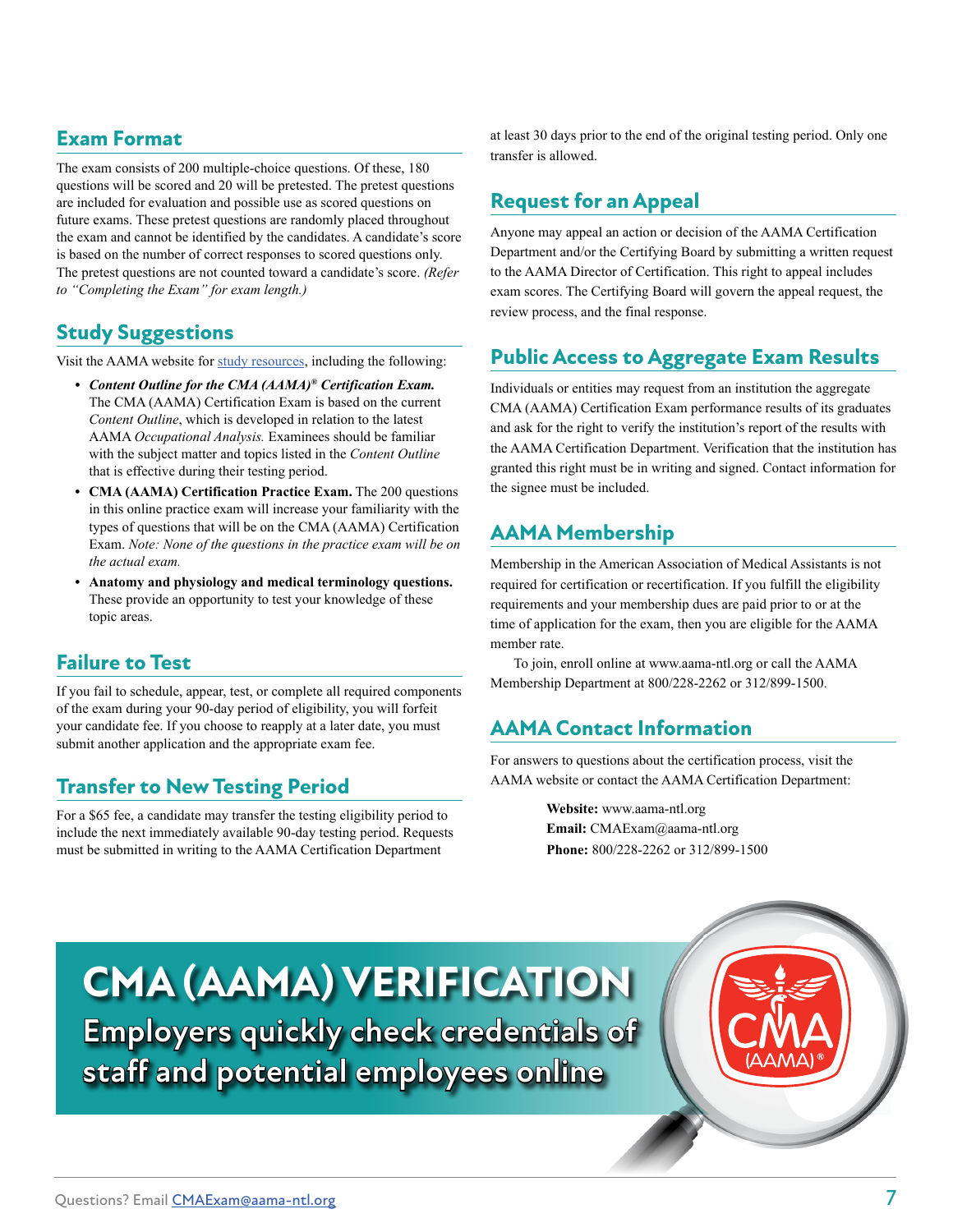# **Exam Format**

The exam consists of 200 multiple-choice questions. Of these, 180 questions will be scored and 20 will be pretested. The pretest questions are included for evaluation and possible use as scored questions on future exams. These pretest questions are randomly placed throughout the exam and cannot be identified by the candidates. A candidate's score is based on the number of correct responses to scored questions only. The pretest questions are not counted toward a candidate's score. *(Refer to "Completing the Exam" for exam length.)*

# **Study Suggestions**

Visit the AAMA website for [study resources,](https://www.aama-ntl.org/cma-aama-exam/study) including the following:

- *• Content Outline for the CMA (AAMA)® Certification Exam.* The CMA (AAMA) Certification Exam is based on the current *Content Outline*, which is developed in relation to the latest AAMA *Occupational Analysis.* Examinees should be familiar with the subject matter and topics listed in the *Content Outline* that is effective during their testing period.
- **• CMA (AAMA) Certification Practice Exam.** The 200 questions in this online practice exam will increase your familiarity with the types of questions that will be on the CMA (AAMA) Certification Exam. *Note: None of the questions in the practice exam will be on the actual exam.*
- **• Anatomy and physiology and medical terminology questions.** These provide an opportunity to test your knowledge of these topic areas.

# **Failure to Test**

If you fail to schedule, appear, test, or complete all required components of the exam during your 90-day period of eligibility, you will forfeit your candidate fee. If you choose to reapply at a later date, you must submit another application and the appropriate exam fee.

# **Transfer to New Testing Period**

For a \$65 fee, a candidate may transfer the testing eligibility period to include the next immediately available 90-day testing period. Requests must be submitted in writing to the AAMA Certification Department

at least 30 days prior to the end of the original testing period. Only one transfer is allowed.

# **Request for an Appeal**

Anyone may appeal an action or decision of the AAMA Certification Department and/or the Certifying Board by submitting a written request to the AAMA Director of Certification. This right to appeal includes exam scores. The Certifying Board will govern the appeal request, the review process, and the final response.

# **Public Access to Aggregate Exam Results**

Individuals or entities may request from an institution the aggregate CMA (AAMA) Certification Exam performance results of its graduates and ask for the right to verify the institution's report of the results with the AAMA Certification Department. Verification that the institution has granted this right must be in writing and signed. Contact information for the signee must be included.

# **AAMA Membership**

Membership in the American Association of Medical Assistants is not required for certification or recertification. If you fulfill the eligibility requirements and your membership dues are paid prior to or at the time of application for the exam, then you are eligible for the AAMA member rate.

To join, enroll online at www.aama-ntl.org or call the AAMA Membership Department at 800/228-2262 or 312/899-1500.

# **AAMA Contact Information**

For answers to questions about the certification process, visit the AAMA website or contact the AAMA Certification Department:

> **Website:** www.aama-ntl.org  **Email:** CMAExam@aama-ntl.org  **Phone:** 800/228-2262 or 312/899-1500

# **CMA (AAMA) VERIFICATION**

**Employers quickly check credentials of staff and potential employees online**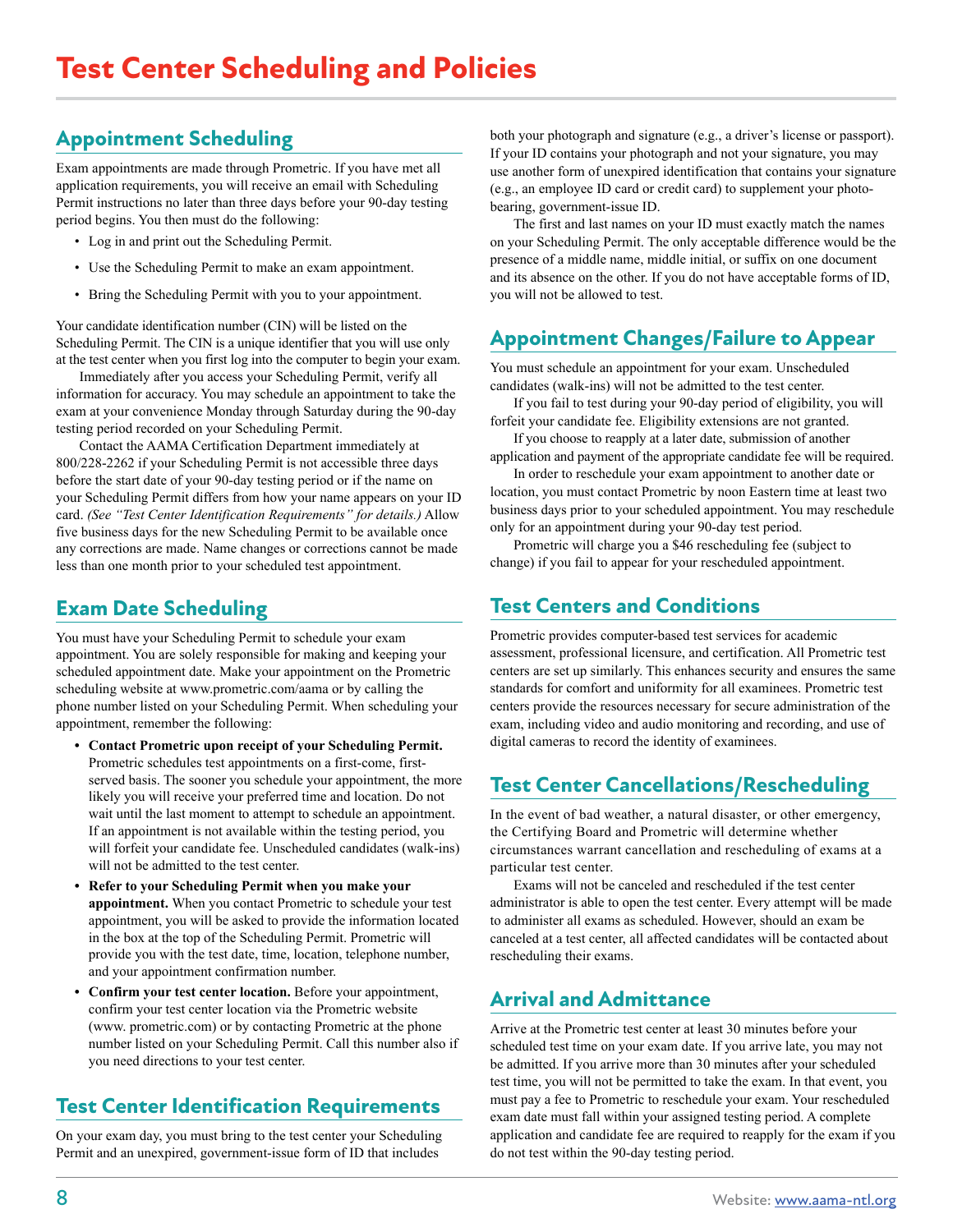# **Appointment Scheduling**

Exam appointments are made through Prometric. If you have met all application requirements, you will receive an email with Scheduling Permit instructions no later than three days before your 90-day testing period begins. You then must do the following:

- Log in and print out the Scheduling Permit.
- Use the Scheduling Permit to make an exam appointment.
- Bring the Scheduling Permit with you to your appointment.

Your candidate identification number (CIN) will be listed on the Scheduling Permit. The CIN is a unique identifier that you will use only at the test center when you first log into the computer to begin your exam.

Immediately after you access your Scheduling Permit, verify all information for accuracy. You may schedule an appointment to take the exam at your convenience Monday through Saturday during the 90-day testing period recorded on your Scheduling Permit.

Contact the AAMA Certification Department immediately at 800/228-2262 if your Scheduling Permit is not accessible three days before the start date of your 90-day testing period or if the name on your Scheduling Permit differs from how your name appears on your ID card. *(See "Test Center Identification Requirements" for details.)* Allow five business days for the new Scheduling Permit to be available once any corrections are made. Name changes or corrections cannot be made less than one month prior to your scheduled test appointment.

# **Exam Date Scheduling**

You must have your Scheduling Permit to schedule your exam appointment. You are solely responsible for making and keeping your scheduled appointment date. Make your appointment on the Prometric scheduling website at www.prometric.com/aama or by calling the phone number listed on your Scheduling Permit. When scheduling your appointment, remember the following:

- **• Contact Prometric upon receipt of your Scheduling Permit.** Prometric schedules test appointments on a first-come, firstserved basis. The sooner you schedule your appointment, the more likely you will receive your preferred time and location. Do not wait until the last moment to attempt to schedule an appointment. If an appointment is not available within the testing period, you will forfeit your candidate fee. Unscheduled candidates (walk-ins) will not be admitted to the test center.
- **• Refer to your Scheduling Permit when you make your appointment.** When you contact Prometric to schedule your test appointment, you will be asked to provide the information located in the box at the top of the Scheduling Permit. Prometric will provide you with the test date, time, location, telephone number, and your appointment confirmation number.
- **• Confirm your test center location.** Before your appointment, confirm your test center location via the Prometric website (www. prometric.com) or by contacting Prometric at the phone number listed on your Scheduling Permit. Call this number also if you need directions to your test center.

# **Test Center Identification Requirements**

On your exam day, you must bring to the test center your Scheduling Permit and an unexpired, government-issue form of ID that includes

both your photograph and signature (e.g., a driver's license or passport). If your ID contains your photograph and not your signature, you may use another form of unexpired identification that contains your signature (e.g., an employee ID card or credit card) to supplement your photobearing, government-issue ID.

The first and last names on your ID must exactly match the names on your Scheduling Permit. The only acceptable difference would be the presence of a middle name, middle initial, or suffix on one document and its absence on the other. If you do not have acceptable forms of ID, you will not be allowed to test.

# **Appointment Changes/Failure to Appear**

You must schedule an appointment for your exam. Unscheduled candidates (walk-ins) will not be admitted to the test center.

If you fail to test during your 90-day period of eligibility, you will forfeit your candidate fee. Eligibility extensions are not granted.

If you choose to reapply at a later date, submission of another application and payment of the appropriate candidate fee will be required.

In order to reschedule your exam appointment to another date or location, you must contact Prometric by noon Eastern time at least two business days prior to your scheduled appointment. You may reschedule only for an appointment during your 90-day test period.

Prometric will charge you a \$46 rescheduling fee (subject to change) if you fail to appear for your rescheduled appointment.

# **Test Centers and Conditions**

Prometric provides computer-based test services for academic assessment, professional licensure, and certification. All Prometric test centers are set up similarly. This enhances security and ensures the same standards for comfort and uniformity for all examinees. Prometric test centers provide the resources necessary for secure administration of the exam, including video and audio monitoring and recording, and use of digital cameras to record the identity of examinees.

# **Test Center Cancellations/Rescheduling**

In the event of bad weather, a natural disaster, or other emergency, the Certifying Board and Prometric will determine whether circumstances warrant cancellation and rescheduling of exams at a particular test center.

Exams will not be canceled and rescheduled if the test center administrator is able to open the test center. Every attempt will be made to administer all exams as scheduled. However, should an exam be canceled at a test center, all affected candidates will be contacted about rescheduling their exams.

# **Arrival and Admittance**

Arrive at the Prometric test center at least 30 minutes before your scheduled test time on your exam date. If you arrive late, you may not be admitted. If you arrive more than 30 minutes after your scheduled test time, you will not be permitted to take the exam. In that event, you must pay a fee to Prometric to reschedule your exam. Your rescheduled exam date must fall within your assigned testing period. A complete application and candidate fee are required to reapply for the exam if you do not test within the 90-day testing period.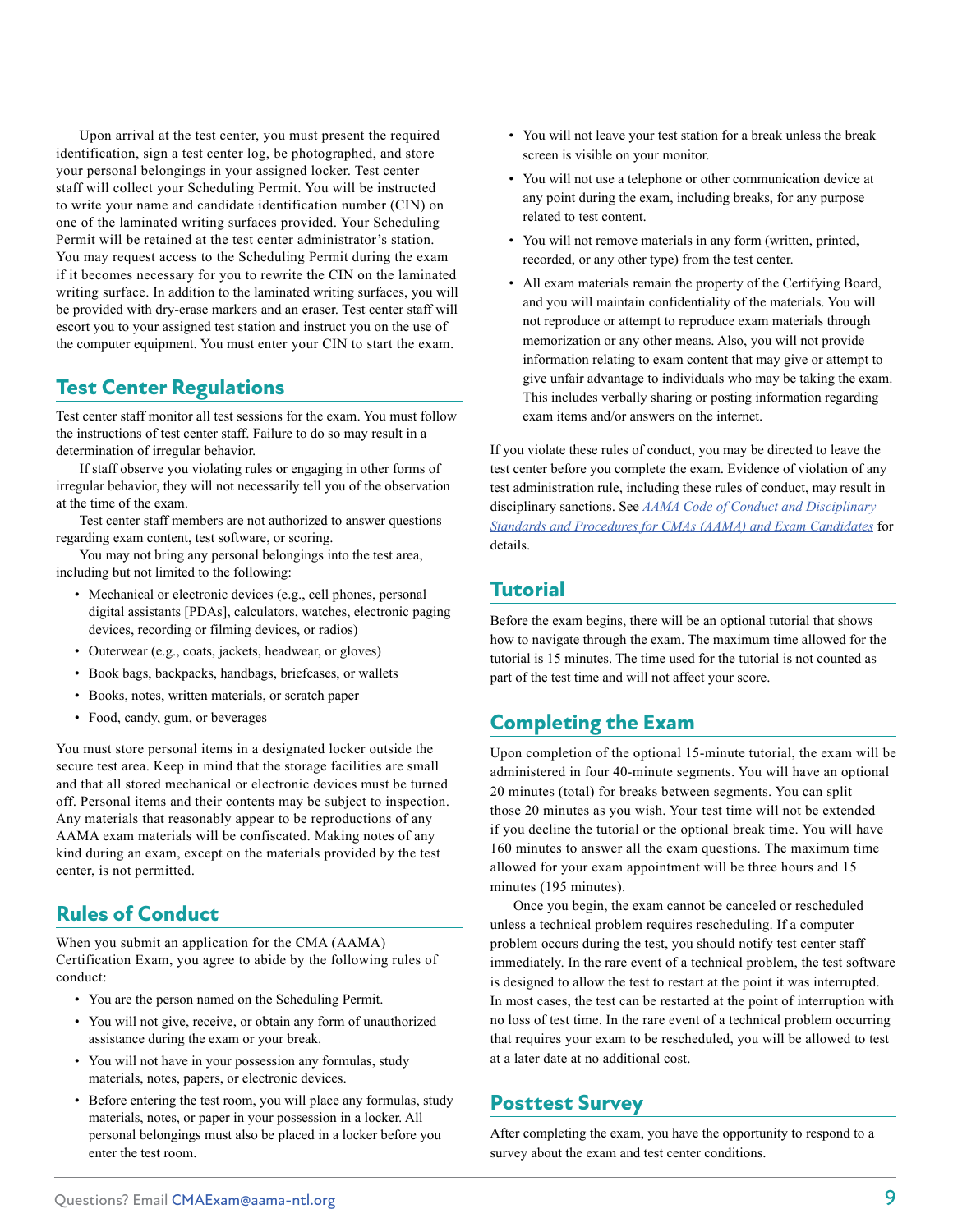Upon arrival at the test center, you must present the required identification, sign a test center log, be photographed, and store your personal belongings in your assigned locker. Test center staff will collect your Scheduling Permit. You will be instructed to write your name and candidate identification number (CIN) on one of the laminated writing surfaces provided. Your Scheduling Permit will be retained at the test center administrator's station. You may request access to the Scheduling Permit during the exam if it becomes necessary for you to rewrite the CIN on the laminated writing surface. In addition to the laminated writing surfaces, you will be provided with dry-erase markers and an eraser. Test center staff will escort you to your assigned test station and instruct you on the use of the computer equipment. You must enter your CIN to start the exam.

# **Test Center Regulations**

Test center staff monitor all test sessions for the exam. You must follow the instructions of test center staff. Failure to do so may result in a determination of irregular behavior.

If staff observe you violating rules or engaging in other forms of irregular behavior, they will not necessarily tell you of the observation at the time of the exam.

Test center staff members are not authorized to answer questions regarding exam content, test software, or scoring.

You may not bring any personal belongings into the test area, including but not limited to the following:

- Mechanical or electronic devices (e.g., cell phones, personal digital assistants [PDAs], calculators, watches, electronic paging devices, recording or filming devices, or radios)
- Outerwear (e.g., coats, jackets, headwear, or gloves)
- Book bags, backpacks, handbags, briefcases, or wallets
- Books, notes, written materials, or scratch paper
- Food, candy, gum, or beverages

You must store personal items in a designated locker outside the secure test area. Keep in mind that the storage facilities are small and that all stored mechanical or electronic devices must be turned off. Personal items and their contents may be subject to inspection. Any materials that reasonably appear to be reproductions of any AAMA exam materials will be confiscated. Making notes of any kind during an exam, except on the materials provided by the test center, is not permitted.

# **Rules of Conduct**

When you submit an application for the CMA (AAMA) Certification Exam, you agree to abide by the following rules of conduct:

- You are the person named on the Scheduling Permit.
- You will not give, receive, or obtain any form of unauthorized assistance during the exam or your break.
- You will not have in your possession any formulas, study materials, notes, papers, or electronic devices.
- Before entering the test room, you will place any formulas, study materials, notes, or paper in your possession in a locker. All personal belongings must also be placed in a locker before you enter the test room.
- You will not leave your test station for a break unless the break screen is visible on your monitor.
- You will not use a telephone or other communication device at any point during the exam, including breaks, for any purpose related to test content.
- You will not remove materials in any form (written, printed, recorded, or any other type) from the test center.
- All exam materials remain the property of the Certifying Board, and you will maintain confidentiality of the materials. You will not reproduce or attempt to reproduce exam materials through memorization or any other means. Also, you will not provide information relating to exam content that may give or attempt to give unfair advantage to individuals who may be taking the exam. This includes verbally sharing or posting information regarding exam items and/or answers on the internet.

If you violate these rules of conduct, you may be directed to leave the test center before you complete the exam. Evidence of violation of any test administration rule, including these rules of conduct, may result in disciplinary sanctions. See *[AAMA Code of Conduct and Disciplinary](https://www.aama-ntl.org/docs/default-source/cma-exam/aama-code-of-conduct-and-disciplinary-standards.pdf)  [Standards and Procedures for CMAs \(AAMA\) and Exam Candidates](https://www.aama-ntl.org/docs/default-source/cma-exam/aama-code-of-conduct-and-disciplinary-standards.pdf)* for details.

# **Tutorial**

Before the exam begins, there will be an optional tutorial that shows how to navigate through the exam. The maximum time allowed for the tutorial is 15 minutes. The time used for the tutorial is not counted as part of the test time and will not affect your score.

# **Completing the Exam**

Upon completion of the optional 15-minute tutorial, the exam will be administered in four 40-minute segments. You will have an optional 20 minutes (total) for breaks between segments. You can split those 20 minutes as you wish. Your test time will not be extended if you decline the tutorial or the optional break time. You will have 160 minutes to answer all the exam questions. The maximum time allowed for your exam appointment will be three hours and 15 minutes (195 minutes).

Once you begin, the exam cannot be canceled or rescheduled unless a technical problem requires rescheduling. If a computer problem occurs during the test, you should notify test center staff immediately. In the rare event of a technical problem, the test software is designed to allow the test to restart at the point it was interrupted. In most cases, the test can be restarted at the point of interruption with no loss of test time. In the rare event of a technical problem occurring that requires your exam to be rescheduled, you will be allowed to test at a later date at no additional cost.

# **Posttest Survey**

After completing the exam, you have the opportunity to respond to a survey about the exam and test center conditions.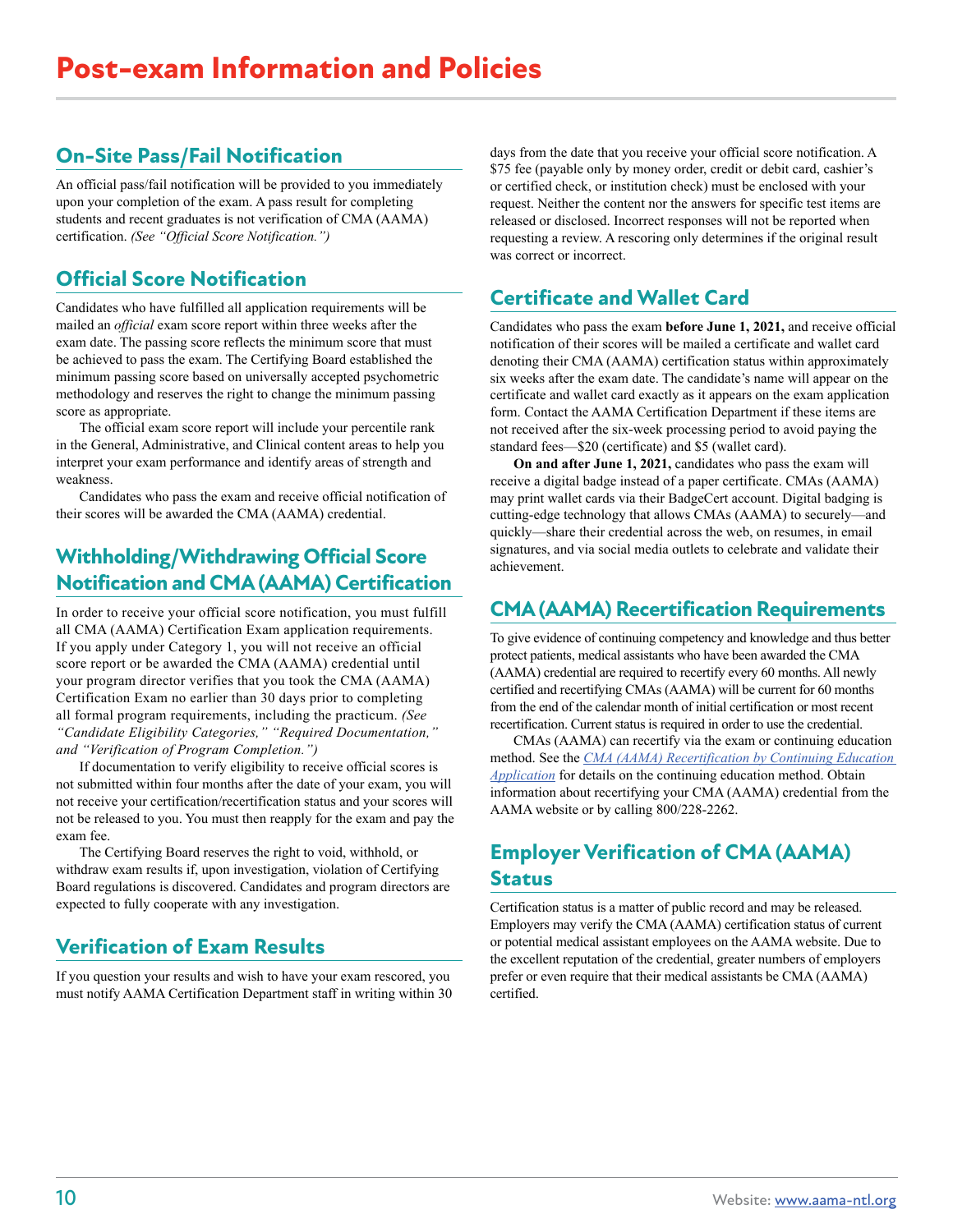# **On-Site Pass/Fail Notification**

An official pass/fail notification will be provided to you immediately upon your completion of the exam. A pass result for completing students and recent graduates is not verification of CMA (AAMA) certification. *(See "Official Score Notification.")* 

# **Official Score Notification**

Candidates who have fulfilled all application requirements will be mailed an *official* exam score report within three weeks after the exam date. The passing score reflects the minimum score that must be achieved to pass the exam. The Certifying Board established the minimum passing score based on universally accepted psychometric methodology and reserves the right to change the minimum passing score as appropriate.

The official exam score report will include your percentile rank in the General, Administrative, and Clinical content areas to help you interpret your exam performance and identify areas of strength and weakness.

Candidates who pass the exam and receive official notification of their scores will be awarded the CMA (AAMA) credential.

# **Withholding/Withdrawing Official Score Notification and CMA (AAMA) Certification**

In order to receive your official score notification, you must fulfill all CMA (AAMA) Certification Exam application requirements. If you apply under Category 1, you will not receive an official score report or be awarded the CMA (AAMA) credential until your program director verifies that you took the CMA (AAMA) Certification Exam no earlier than 30 days prior to completing all formal program requirements, including the practicum. *(See "Candidate Eligibility Categories," "Required Documentation," and "Verification of Program Completion.")* 

If documentation to verify eligibility to receive official scores is not submitted within four months after the date of your exam, you will not receive your certification/recertification status and your scores will not be released to you. You must then reapply for the exam and pay the exam fee.

The Certifying Board reserves the right to void, withhold, or withdraw exam results if, upon investigation, violation of Certifying Board regulations is discovered. Candidates and program directors are expected to fully cooperate with any investigation.

# **Verification of Exam Results**

If you question your results and wish to have your exam rescored, you must notify AAMA Certification Department staff in writing within 30 days from the date that you receive your official score notification. A \$75 fee (payable only by money order, credit or debit card, cashier's or certified check, or institution check) must be enclosed with your request. Neither the content nor the answers for specific test items are released or disclosed. Incorrect responses will not be reported when requesting a review. A rescoring only determines if the original result was correct or incorrect.

# **Certificate and Wallet Card**

Candidates who pass the exam **before June 1, 2021,** and receive official notification of their scores will be mailed a certificate and wallet card denoting their CMA (AAMA) certification status within approximately six weeks after the exam date. The candidate's name will appear on the certificate and wallet card exactly as it appears on the exam application form. Contact the AAMA Certification Department if these items are not received after the six-week processing period to avoid paying the standard fees—\$20 (certificate) and \$5 (wallet card).

**On and after June 1, 2021,** candidates who pass the exam will receive a digital badge instead of a paper certificate. CMAs (AAMA) may print wallet cards via their BadgeCert account. Digital badging is cutting-edge technology that allows CMAs (AAMA) to securely—and quickly—share their credential across the web, on resumes, in email signatures, and via social media outlets to celebrate and validate their achievement.

# **CMA (AAMA) Recertification Requirements**

To give evidence of continuing competency and knowledge and thus better protect patients, medical assistants who have been awarded the CMA (AAMA) credential are required to recertify every 60 months. All newly certified and recertifying CMAs (AAMA) will be current for 60 months from the end of the calendar month of initial certification or most recent recertification. Current status is required in order to use the credential.

CMAs (AAMA) can recertify via the exam or continuing education method. See the *[CMA \(AAMA\) Recertification by Continuing Education](https://www.aama-ntl.org/docs/default-source/recertification-by-continuing-education/recert-by-ce-app.pdf)  [Application](https://www.aama-ntl.org/docs/default-source/recertification-by-continuing-education/recert-by-ce-app.pdf)* for details on the continuing education method. Obtain information about recertifying your CMA (AAMA) credential from the AAMA website or by calling 800/228-2262.

# **Employer Verification of CMA (AAMA) Status**

Certification status is a matter of public record and may be released. Employers may verify the CMA (AAMA) certification status of current or potential medical assistant employees on the AAMA website. Due to the excellent reputation of the credential, greater numbers of employers prefer or even require that their medical assistants be CMA (AAMA) certified.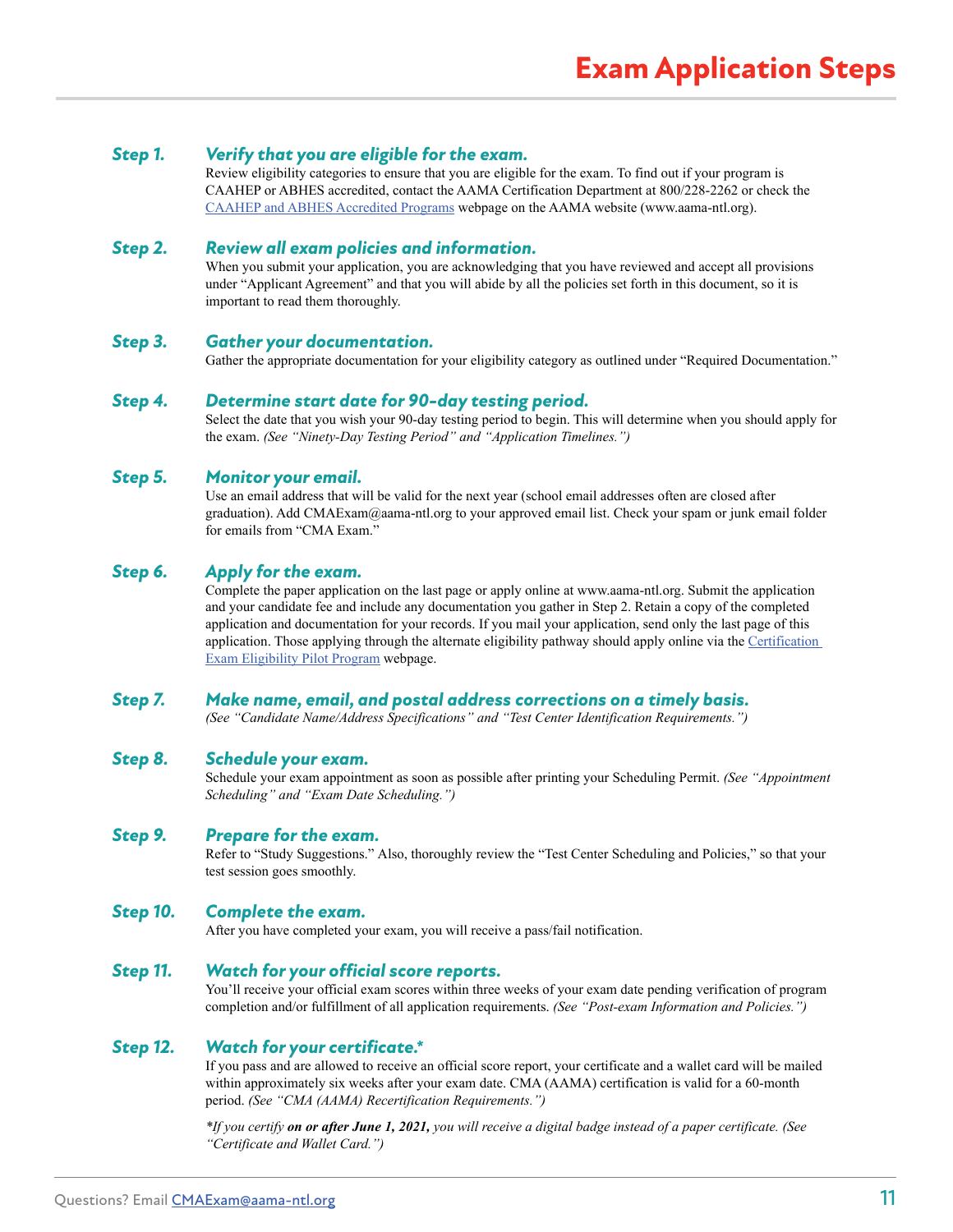#### *Step 1. Verify that you are eligible for the exam.*

Review eligibility categories to ensure that you are eligible for the exam. To find out if your program is CAAHEP or ABHES accredited, contact the AAMA Certification Department at 800/228-2262 or check the [CAAHEP and ABHES Accredited](https://www.aama-ntl.org/medical-assisting/caahep-abhes-programs) [Programs](https://www.aama-ntl.org/medical-assisting/caahep-abhes-programs) webpage on the AAMA website (www.aama-ntl.org).

#### *Step 2. Review all exam policies and information.*

When you submit your application, you are acknowledging that you have reviewed and accept all provisions under "Applicant Agreement" and that you will abide by all the policies set forth in this document, so it is important to read them thoroughly.

#### *Step 3. Gather your documentation.*

Gather the appropriate documentation for your eligibility category as outlined under "Required Documentation."

#### *Step 4. Determine start date for 90-day testing period.*

Select the date that you wish your 90-day testing period to begin. This will determine when you should apply for the exam. *(See "Ninety-Day Testing Period" and "Application Timelines.")* 

#### *Step 5. Monitor your email.*

Use an email address that will be valid for the next year (school email addresses often are closed after graduation). Add CMAExam@aama-ntl.org to your approved email list. Check your spam or junk email folder for emails from "CMA Exam."

#### *Step 6. Apply for the exam.*

Complete the paper application on the last page or apply online at www.aama-ntl.org. Submit the application and your candidate fee and include any documentation you gather in Step 2. Retain a copy of the completed application and documentation for your records. If you mail your application, send only the last page of this application. Those applying through the alternate eligibility pathway should apply online via the Certification [Exam Eligibility Pilot Program](https://www.aama-ntl.org/cma-aama-exam/eligibility-pilot-program) webpage.

#### *Step 7. Make name, email, and postal address corrections on a timely basis.*

*(See "Candidate Name/Address Specifications" and "Test Center Identification Requirements.")* 

#### *Step 8. Schedule your exam.*

Schedule your exam appointment as soon as possible after printing your Scheduling Permit. *(See "Appointment Scheduling" and "Exam Date Scheduling.")* 

#### *Step 9. Prepare for the exam.*

Refer to "Study Suggestions." Also, thoroughly review the "Test Center Scheduling and Policies," so that your test session goes smoothly.

#### *Step 10. Complete the exam.*

After you have completed your exam, you will receive a pass/fail notification.

#### *Step 11. Watch for your official score reports.*

You'll receive your official exam scores within three weeks of your exam date pending verification of program completion and/or fulfillment of all application requirements. *(See "Post-exam Information and Policies.")* 

#### *Step 12. Watch for your certificate.\**

If you pass and are allowed to receive an official score report, your certificate and a wallet card will be mailed within approximately six weeks after your exam date. CMA (AAMA) certification is valid for a 60-month period. *(See "CMA (AAMA) Recertification Requirements.")*

*\*If you certify on or after June 1, 2021, you will receive a digital badge instead of a paper certificate. (See "Certificate and Wallet Card.")*